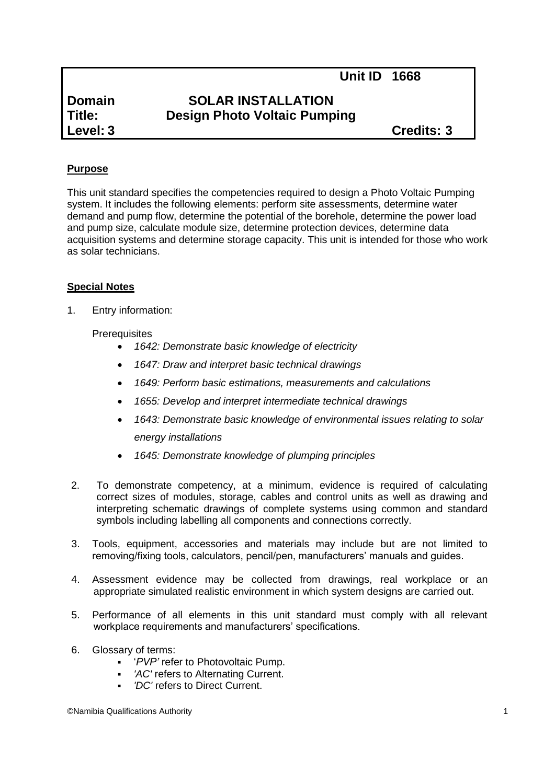**Unit ID 1668**

# **Domain SOLAR INSTALLATION Title: Design Photo Voltaic Pumping**

**Level: 3 Credits: 3**

# **Purpose**

This unit standard specifies the competencies required to design a Photo Voltaic Pumping system. It includes the following elements: perform site assessments, determine water demand and pump flow, determine the potential of the borehole, determine the power load and pump size, calculate module size, determine protection devices, determine data acquisition systems and determine storage capacity. This unit is intended for those who work as solar technicians.

#### **Special Notes**

1. Entry information:

#### **Prerequisites**

- *1642: Demonstrate basic knowledge of electricity*
- *1647: Draw and interpret basic technical drawings*
- *1649: Perform basic estimations, measurements and calculations*
- *1655: Develop and interpret intermediate technical drawings*
- *1643: Demonstrate basic knowledge of environmental issues relating to solar energy installations*
- *1645: Demonstrate knowledge of plumping principles*
- 2. To demonstrate competency, at a minimum, evidence is required of calculating correct sizes of modules, storage, cables and control units as well as drawing and interpreting schematic drawings of complete systems using common and standard symbols including labelling all components and connections correctly.
- 3. Tools, equipment, accessories and materials may include but are not limited to removing/fixing tools, calculators, pencil/pen, manufacturers' manuals and guides.
- 4. Assessment evidence may be collected from drawings, real workplace or an appropriate simulated realistic environment in which system designs are carried out.
- 5. Performance of all elements in this unit standard must comply with all relevant workplace requirements and manufacturers' specifications.
- 6. Glossary of terms:
	- '*PVP'* refer to Photovoltaic Pump.
	- *'AC'* refers to Alternating Current.
	- *'DC'* refers to Direct Current.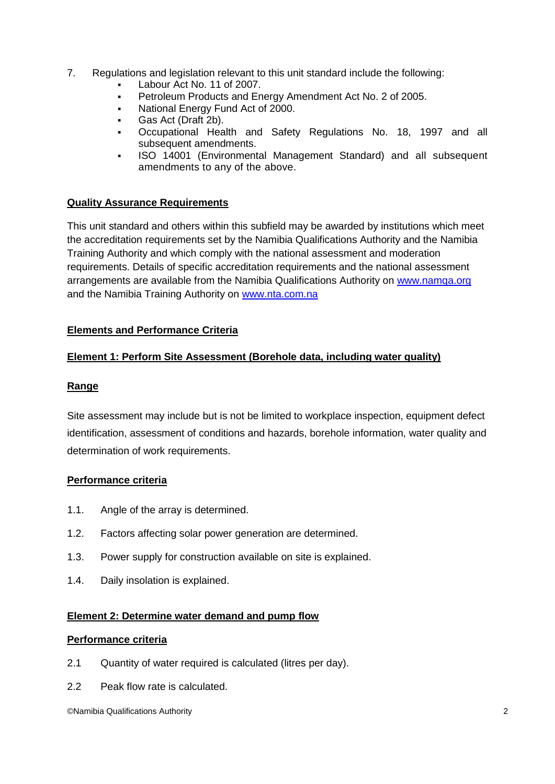- 7. Regulations and legislation relevant to this unit standard include the following:
	- Labour Act No. 11 of 2007.
	- Petroleum Products and Energy Amendment Act No. 2 of 2005.
	- National Energy Fund Act of 2000.
	- Gas Act (Draft 2b).
	- Occupational Health and Safety Regulations No. 18, 1997 and all subsequent amendments.
	- ISO 14001 (Environmental Management Standard) and all subsequent amendments to any of the above.

## **Quality Assurance Requirements**

This unit standard and others within this subfield may be awarded by institutions which meet the accreditation requirements set by the Namibia Qualifications Authority and the Namibia Training Authority and which comply with the national assessment and moderation requirements. Details of specific accreditation requirements and the national assessment arrangements are available from the Namibia Qualifications Authority on [www.namqa.org](http://www.namqa.org/) and the Namibia Training Authority on [www.nta.com.na](http://www.nta.com.na/)

## **Elements and Performance Criteria**

# **Element 1: Perform Site Assessment (Borehole data, including water quality)**

#### **Range**

Site assessment may include but is not be limited to workplace inspection, equipment defect identification, assessment of conditions and hazards, borehole information, water quality and determination of work requirements.

#### **Performance criteria**

- 1.1. Angle of the array is determined.
- 1.2. Factors affecting solar power generation are determined.
- 1.3. Power supply for construction available on site is explained.
- 1.4. Daily insolation is explained.

#### **Element 2: Determine water demand and pump flow**

#### **Performance criteria**

- 2.1 Quantity of water required is calculated (litres per day).
- 2.2 Peak flow rate is calculated.

©Namibia Qualifications Authority 2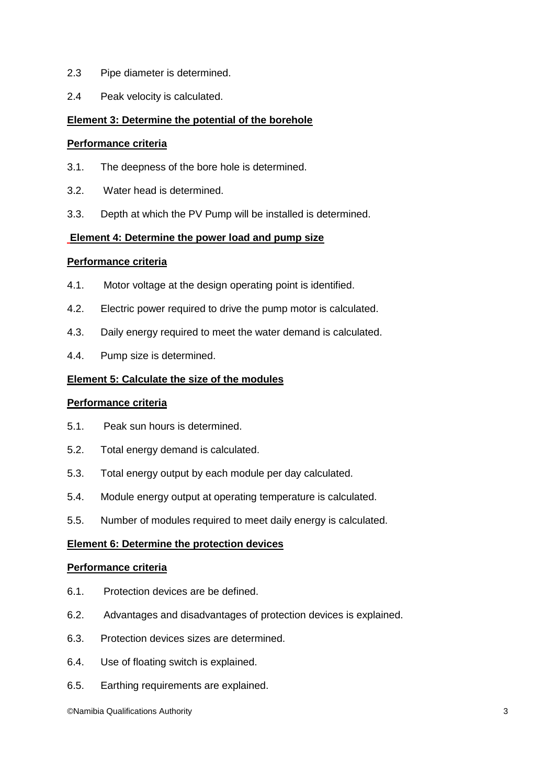- 2.3 Pipe diameter is determined.
- 2.4 Peak velocity is calculated.

## **Element 3: Determine the potential of the borehole**

#### **Performance criteria**

- 3.1. The deepness of the bore hole is determined.
- 3.2. Water head is determined.
- 3.3. Depth at which the PV Pump will be installed is determined.

#### **Element 4: Determine the power load and pump size**

#### **Performance criteria**

- 4.1. Motor voltage at the design operating point is identified.
- 4.2. Electric power required to drive the pump motor is calculated.
- 4.3. Daily energy required to meet the water demand is calculated.
- 4.4. Pump size is determined.

## **Element 5: Calculate the size of the modules**

#### **Performance criteria**

- 5.1. Peak sun hours is determined.
- 5.2. Total energy demand is calculated.
- 5.3. Total energy output by each module per day calculated.
- 5.4. Module energy output at operating temperature is calculated.
- 5.5. Number of modules required to meet daily energy is calculated.

#### **Element 6: Determine the protection devices**

#### **Performance criteria**

- 6.1. Protection devices are be defined.
- 6.2. Advantages and disadvantages of protection devices is explained.
- 6.3. Protection devices sizes are determined.
- 6.4. Use of floating switch is explained.
- 6.5. Earthing requirements are explained.